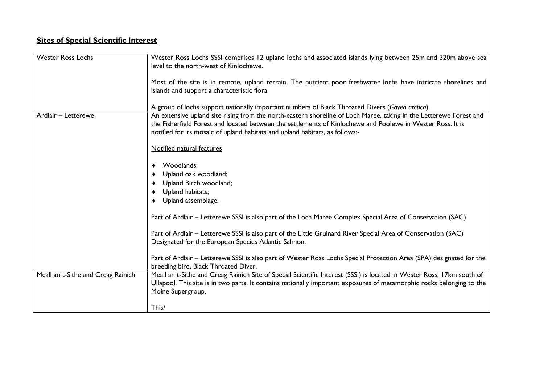## **Sites of Special Scientific Interest**

| <b>Wester Ross Lochs</b>           | Wester Ross Lochs SSSI comprises 12 upland lochs and associated islands lying between 25m and 320m above sea<br>level to the north-west of Kinlochewe.<br>Most of the site is in remote, upland terrain. The nutrient poor freshwater lochs have intricate shorelines and<br>islands and support a characteristic flora.<br>A group of lochs support nationally important numbers of Black Throated Divers (Gavea arctica).                                                                                                                                                                                                                                                                                                                                                                                                                                                 |
|------------------------------------|-----------------------------------------------------------------------------------------------------------------------------------------------------------------------------------------------------------------------------------------------------------------------------------------------------------------------------------------------------------------------------------------------------------------------------------------------------------------------------------------------------------------------------------------------------------------------------------------------------------------------------------------------------------------------------------------------------------------------------------------------------------------------------------------------------------------------------------------------------------------------------|
| Ardlair - Letterewe                | An extensive upland site rising from the north-eastern shoreline of Loch Maree, taking in the Letterewe Forest and<br>the Fisherfield Forest and located between the settlements of Kinlochewe and Poolewe in Wester Ross. It is<br>notified for its mosaic of upland habitats and upland habitats, as follows:-<br>Notified natural features<br>Woodlands;<br>٠<br>Upland oak woodland;<br>Upland Birch woodland;<br>Upland habitats;<br>Upland assemblage.<br>Part of Ardlair – Letterewe SSSI is also part of the Loch Maree Complex Special Area of Conservation (SAC).<br>Part of Ardlair - Letterewe SSSI is also part of the Little Gruinard River Special Area of Conservation (SAC)<br>Designated for the European Species Atlantic Salmon.<br>Part of Ardlair - Letterewe SSSI is also part of Wester Ross Lochs Special Protection Area (SPA) designated for the |
| Meall an t-Sithe and Creag Rainich | breeding bird, Black Throated Diver.<br>Meall an t-Sithe and Creag Rainich Site of Special Scientific Interest (SSSI) is located in Wester Ross, 17km south of<br>Ullapool. This site is in two parts. It contains nationally important exposures of metamorphic rocks belonging to the<br>Moine Supergroup.<br>This/                                                                                                                                                                                                                                                                                                                                                                                                                                                                                                                                                       |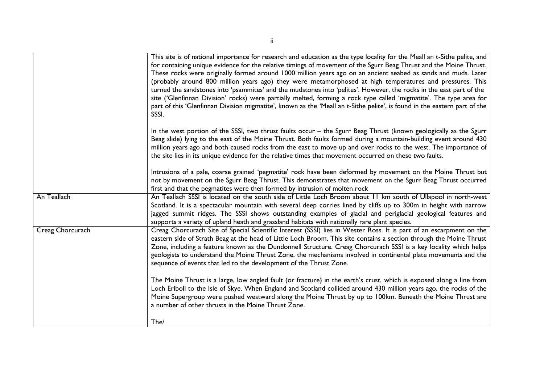|                  | This site is of national importance for research and education as the type locality for the Meall an t-Sithe pelite, and<br>for containing unique evidence for the relative timings of movement of the Sgurr Beag Thrust and the Moine Thrust.<br>These rocks were originally formed around 1000 million years ago on an ancient seabed as sands and muds. Later<br>(probably around 800 million years ago) they were metamorphosed at high temperatures and pressures. This<br>turned the sandstones into 'psammites' and the mudstones into 'pelites'. However, the rocks in the east part of the<br>site ('Glenfinnan Division' rocks) were partially melted, forming a rock type called 'migmatite'. The type area for<br>part of this 'Glenfinnan Division migmatite', known as the 'Meall an t-Sithe pelite', is found in the eastern part of the<br>SSSI. |
|------------------|------------------------------------------------------------------------------------------------------------------------------------------------------------------------------------------------------------------------------------------------------------------------------------------------------------------------------------------------------------------------------------------------------------------------------------------------------------------------------------------------------------------------------------------------------------------------------------------------------------------------------------------------------------------------------------------------------------------------------------------------------------------------------------------------------------------------------------------------------------------|
|                  | In the west portion of the SSSI, two thrust faults occur - the Sgurr Beag Thrust (known geologically as the Sgurr<br>Beag slide) lying to the east of the Moine Thrust. Both faults formed during a mountain-building event around 430<br>million years ago and both caused rocks from the east to move up and over rocks to the west. The importance of<br>the site lies in its unique evidence for the relative times that movement occurred on these two faults.                                                                                                                                                                                                                                                                                                                                                                                              |
|                  | Intrusions of a pale, coarse grained 'pegmatite' rock have been deformed by movement on the Moine Thrust but<br>not by movement on the Sgurr Beag Thrust. This demonstrates that movement on the Sgurr Beag Thrust occurred<br>first and that the pegmatites were then formed by intrusion of molten rock                                                                                                                                                                                                                                                                                                                                                                                                                                                                                                                                                        |
| An Teallach      | An Teallach SSSI is located on the south side of Little Loch Broom about 11 km south of Ullapool in north-west<br>Scotland. It is a spectacular mountain with several deep corries lined by cliffs up to 300m in height with narrow<br>jagged summit ridges. The SSSI shows outstanding examples of glacial and periglacial geological features and<br>supports a variety of upland heath and grassland habitats with nationally rare plant species.                                                                                                                                                                                                                                                                                                                                                                                                             |
| Creag Chorcurach | Creag Chorcurach Site of Special Scientific Interest (SSSI) lies in Wester Ross. It is part of an escarpment on the<br>eastern side of Strath Beag at the head of Little Loch Broom. This site contains a section through the Moine Thrust<br>Zone, including a feature known as the Dundonnell Structure. Creag Chorcurach SSSI is a key locality which helps<br>geologists to understand the Moine Thrust Zone, the mechanisms involved in continental plate movements and the<br>sequence of events that led to the development of the Thrust Zone.                                                                                                                                                                                                                                                                                                           |
|                  | The Moine Thrust is a large, low angled fault (or fracture) in the earth's crust, which is exposed along a line from<br>Loch Eriboll to the Isle of Skye. When England and Scotland collided around 430 million years ago, the rocks of the<br>Moine Supergroup were pushed westward along the Moine Thrust by up to 100km. Beneath the Moine Thrust are<br>a number of other thrusts in the Moine Thrust Zone.                                                                                                                                                                                                                                                                                                                                                                                                                                                  |
|                  | The/                                                                                                                                                                                                                                                                                                                                                                                                                                                                                                                                                                                                                                                                                                                                                                                                                                                             |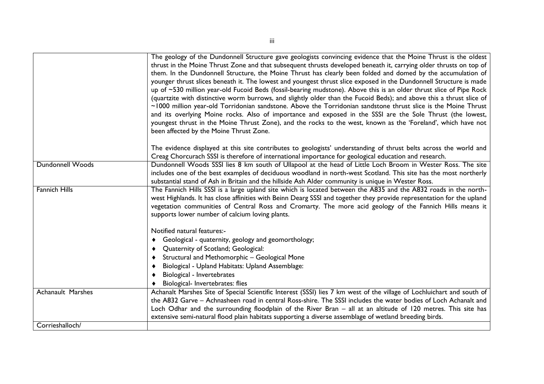|                          | The geology of the Dundonnell Structure gave geologists convincing evidence that the Moine Thrust is the oldest<br>thrust in the Moine Thrust Zone and that subsequent thrusts developed beneath it, carrying older thrusts on top of<br>them. In the Dundonnell Structure, the Moine Thrust has clearly been folded and domed by the accumulation of<br>younger thrust slices beneath it. The lowest and youngest thrust slice exposed in the Dundonnell Structure is made<br>up of ~530 million year-old Fucoid Beds (fossil-bearing mudstone). Above this is an older thrust slice of Pipe Rock<br>(quartzite with distinctive worm burrows, and slightly older than the Fucoid Beds); and above this a thrust slice of<br>~1000 million year-old Torridonian sandstone. Above the Torridonian sandstone thrust slice is the Moine Thrust<br>and its overlying Moine rocks. Also of importance and exposed in the SSSI are the Sole Thrust (the lowest,<br>youngest thrust in the Moine Thrust Zone), and the rocks to the west, known as the 'Foreland', which have not<br>been affected by the Moine Thrust Zone. |
|--------------------------|------------------------------------------------------------------------------------------------------------------------------------------------------------------------------------------------------------------------------------------------------------------------------------------------------------------------------------------------------------------------------------------------------------------------------------------------------------------------------------------------------------------------------------------------------------------------------------------------------------------------------------------------------------------------------------------------------------------------------------------------------------------------------------------------------------------------------------------------------------------------------------------------------------------------------------------------------------------------------------------------------------------------------------------------------------------------------------------------------------------------|
|                          | The evidence displayed at this site contributes to geologists' understanding of thrust belts across the world and<br>Creag Chorcurach SSSI is therefore of international importance for geological education and research.                                                                                                                                                                                                                                                                                                                                                                                                                                                                                                                                                                                                                                                                                                                                                                                                                                                                                             |
| <b>Dundonnell Woods</b>  | Dundonnell Woods SSSI lies 8 km south of Ullapool at the head of Little Loch Broom in Wester Ross. The site<br>includes one of the best examples of deciduous woodland in north-west Scotland. This site has the most northerly<br>substantial stand of Ash in Britain and the hillside Ash Alder community is unique in Wester Ross.                                                                                                                                                                                                                                                                                                                                                                                                                                                                                                                                                                                                                                                                                                                                                                                  |
| <b>Fannich Hills</b>     | The Fannich Hills SSSI is a large upland site which is located between the A835 and the A832 roads in the north-<br>west Highlands. It has close affinities with Beinn Dearg SSSI and together they provide representation for the upland<br>vegetation communities of Central Ross and Cromarty. The more acid geology of the Fannich Hills means it<br>supports lower number of calcium loving plants.                                                                                                                                                                                                                                                                                                                                                                                                                                                                                                                                                                                                                                                                                                               |
|                          | Notified natural features:-                                                                                                                                                                                                                                                                                                                                                                                                                                                                                                                                                                                                                                                                                                                                                                                                                                                                                                                                                                                                                                                                                            |
|                          | Geological - quaternity, geology and geomorthology;<br>٠                                                                                                                                                                                                                                                                                                                                                                                                                                                                                                                                                                                                                                                                                                                                                                                                                                                                                                                                                                                                                                                               |
|                          | Quaternity of Scotland; Geological:<br>Structural and Methomorphic - Geological Mone                                                                                                                                                                                                                                                                                                                                                                                                                                                                                                                                                                                                                                                                                                                                                                                                                                                                                                                                                                                                                                   |
|                          | Biological - Upland Habitats: Upland Assemblage:                                                                                                                                                                                                                                                                                                                                                                                                                                                                                                                                                                                                                                                                                                                                                                                                                                                                                                                                                                                                                                                                       |
|                          | Biological - Invertebrates                                                                                                                                                                                                                                                                                                                                                                                                                                                                                                                                                                                                                                                                                                                                                                                                                                                                                                                                                                                                                                                                                             |
|                          | Biological- Invertebrates: flies                                                                                                                                                                                                                                                                                                                                                                                                                                                                                                                                                                                                                                                                                                                                                                                                                                                                                                                                                                                                                                                                                       |
| <b>Achanault Marshes</b> | Achanalt Marshes Site of Special Scientific Interest (SSSI) lies 7 km west of the village of Lochluichart and south of<br>the A832 Garve - Achnasheen road in central Ross-shire. The SSSI includes the water bodies of Loch Achanalt and<br>Loch Odhar and the surrounding floodplain of the River Bran - all at an altitude of 120 metres. This site has<br>extensive semi-natural flood plain habitats supporting a diverse assemblage of wetland breeding birds.                                                                                                                                                                                                                                                                                                                                                                                                                                                                                                                                                                                                                                                   |
| Corrieshalloch/          |                                                                                                                                                                                                                                                                                                                                                                                                                                                                                                                                                                                                                                                                                                                                                                                                                                                                                                                                                                                                                                                                                                                        |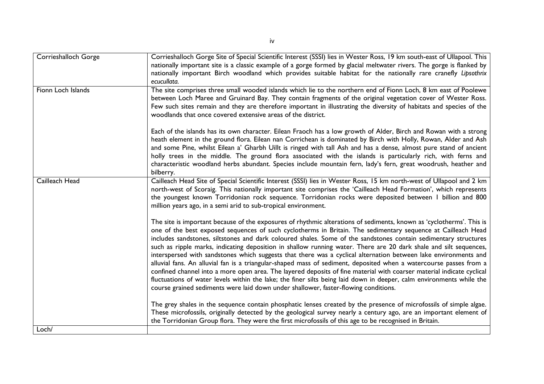| <b>Corrieshalloch Gorge</b> | Corrieshalloch Gorge Site of Special Scientific Interest (SSSI) lies in Wester Ross, 19 km south-east of Ullapool. This<br>nationally important site is a classic example of a gorge formed by glacial meltwater rivers. The gorge is flanked by<br>nationally important Birch woodland which provides suitable habitat for the nationally rare cranefly Lipsothrix<br>ecucullata.                                                                                                                                                                                                                                                                                                                                                                                                                                                                                                                                                                                                                                                                            |
|-----------------------------|---------------------------------------------------------------------------------------------------------------------------------------------------------------------------------------------------------------------------------------------------------------------------------------------------------------------------------------------------------------------------------------------------------------------------------------------------------------------------------------------------------------------------------------------------------------------------------------------------------------------------------------------------------------------------------------------------------------------------------------------------------------------------------------------------------------------------------------------------------------------------------------------------------------------------------------------------------------------------------------------------------------------------------------------------------------|
| Fionn Loch Islands          | The site comprises three small wooded islands which lie to the northern end of Fionn Loch, 8 km east of Poolewe<br>between Loch Maree and Gruinard Bay. They contain fragments of the original vegetation cover of Wester Ross.<br>Few such sites remain and they are therefore important in illustrating the diversity of habitats and species of the<br>woodlands that once covered extensive areas of the district.                                                                                                                                                                                                                                                                                                                                                                                                                                                                                                                                                                                                                                        |
|                             | Each of the islands has its own character. Eilean Fraoch has a low growth of Alder, Birch and Rowan with a strong<br>heath element in the ground flora. Eilean nan Corrichean is dominated by Birch with Holly, Rowan, Alder and Ash<br>and some Pine, whilst Eilean a' Gharbh Uillt is ringed with tall Ash and has a dense, almost pure stand of ancient<br>holly trees in the middle. The ground flora associated with the islands is particularly rich, with ferns and<br>characteristic woodland herbs abundant. Species include mountain fern, lady's fern, great woodrush, heather and<br>bilberry.                                                                                                                                                                                                                                                                                                                                                                                                                                                    |
| Cailleach Head              | Cailleach Head Site of Special Scientific Interest (SSSI) lies in Wester Ross, 15 km north-west of Ullapool and 2 km<br>north-west of Scoraig. This nationally important site comprises the 'Cailleach Head Formation', which represents<br>the youngest known Torridonian rock sequence. Torridonian rocks were deposited between I billion and 800<br>million years ago, in a semi arid to sub-tropical environment.                                                                                                                                                                                                                                                                                                                                                                                                                                                                                                                                                                                                                                        |
|                             | The site is important because of the exposures of rhythmic alterations of sediments, known as 'cyclotherms'. This is<br>one of the best exposed sequences of such cyclotherms in Britain. The sedimentary sequence at Cailleach Head<br>includes sandstones, siltstones and dark coloured shales. Some of the sandstones contain sedimentary structures<br>such as ripple marks, indicating deposition in shallow running water. There are 20 dark shale and silt sequences,<br>interspersed with sandstones which suggests that there was a cyclical alternation between lake environments and<br>alluvial fans. An alluvial fan is a triangular-shaped mass of sediment, deposited when a watercourse passes from a<br>confined channel into a more open area. The layered deposits of fine material with coarser material indicate cyclical<br>fluctuations of water levels within the lake; the finer silts being laid down in deeper, calm environments while the<br>course grained sediments were laid down under shallower, faster-flowing conditions. |
|                             | The grey shales in the sequence contain phosphatic lenses created by the presence of microfossils of simple algae.<br>These microfossils, originally detected by the geological survey nearly a century ago, are an important element of<br>the Torridonian Group flora. They were the first microfossils of this age to be recognised in Britain.                                                                                                                                                                                                                                                                                                                                                                                                                                                                                                                                                                                                                                                                                                            |
| Loch/                       |                                                                                                                                                                                                                                                                                                                                                                                                                                                                                                                                                                                                                                                                                                                                                                                                                                                                                                                                                                                                                                                               |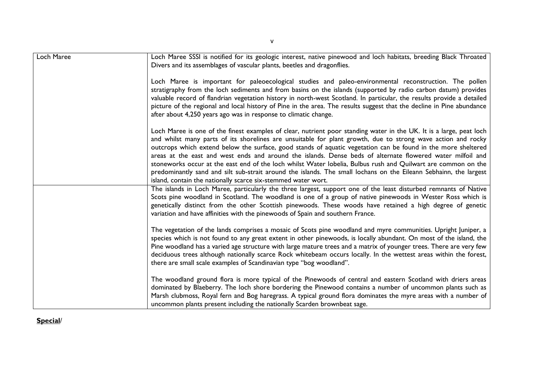| Loch Maree | Loch Maree SSSI is notified for its geologic interest, native pinewood and loch habitats, breeding Black Throated<br>Divers and its assemblages of vascular plants, beetles and dragonflies.                                                                                                                                                                                                                                                                                                                                                                                                                                                                                                                                                                              |
|------------|---------------------------------------------------------------------------------------------------------------------------------------------------------------------------------------------------------------------------------------------------------------------------------------------------------------------------------------------------------------------------------------------------------------------------------------------------------------------------------------------------------------------------------------------------------------------------------------------------------------------------------------------------------------------------------------------------------------------------------------------------------------------------|
|            | Loch Maree is important for paleoecological studies and paleo-environmental reconstruction. The pollen<br>stratigraphy from the loch sediments and from basins on the islands (supported by radio carbon datum) provides<br>valuable record of flandrian vegetation history in north-west Scotland. In particular, the results provide a detailed<br>picture of the regional and local history of Pine in the area. The results suggest that the decline in Pine abundance<br>after about 4,250 years ago was in response to climatic change.                                                                                                                                                                                                                             |
|            | Loch Maree is one of the finest examples of clear, nutrient poor standing water in the UK. It is a large, peat loch<br>and whilst many parts of its shorelines are unsuitable for plant growth, due to strong wave action and rocky<br>outcrops which extend below the surface, good stands of aquatic vegetation can be found in the more sheltered<br>areas at the east and west ends and around the islands. Dense beds of alternate flowered water milfoil and<br>stoneworks occur at the east end of the loch whilst Water lobelia, Bulbus rush and Quilwart are common on the<br>predominantly sand and silt sub-strait around the islands. The small lochans on the Eileann Sebhainn, the largest<br>island, contain the nationally scarce six-stemmed water wort. |
|            | The islands in Loch Maree, particularly the three largest, support one of the least disturbed remnants of Native<br>Scots pine woodland in Scotland. The woodland is one of a group of native pinewoods in Wester Ross which is<br>genetically distinct from the other Scottish pinewoods. These woods have retained a high degree of genetic<br>variation and have affinities with the pinewoods of Spain and southern France.                                                                                                                                                                                                                                                                                                                                           |
|            | The vegetation of the lands comprises a mosaic of Scots pine woodland and myre communities. Upright Juniper, a<br>species which is not found to any great extent in other pinewoods, is locally abundant. On most of the island, the<br>Pine woodland has a varied age structure with large mature trees and a matrix of younger trees. There are very few<br>deciduous trees although nationally scarce Rock whitebeam occurs locally. In the wettest areas within the forest,<br>there are small scale examples of Scandinavian type "bog woodland".                                                                                                                                                                                                                    |
|            | The woodland ground flora is more typical of the Pinewoods of central and eastern Scotland with driers areas<br>dominated by Blaeberry. The loch shore bordering the Pinewood contains a number of uncommon plants such as<br>Marsh clubmoss, Royal fern and Bog haregrass. A typical ground flora dominates the myre areas with a number of<br>uncommon plants present including the nationally Scarden brownbeat sage.                                                                                                                                                                                                                                                                                                                                                  |

### **Special**/

v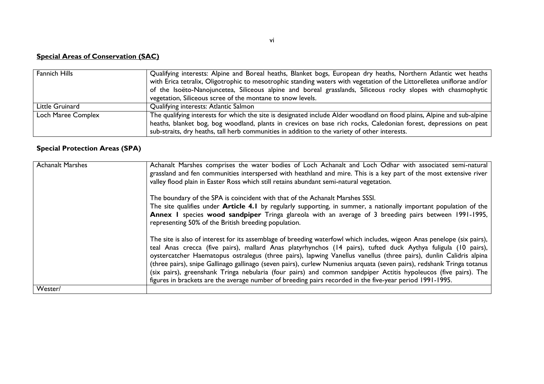## **Special Areas of Conservation (SAC)**

| <b>Fannich Hills</b> | Qualifying interests: Alpine and Boreal heaths, Blanket bogs, European dry heaths, Northern Atlantic wet heaths         |
|----------------------|-------------------------------------------------------------------------------------------------------------------------|
|                      | with Erica tetralix, Oligotrophic to mesotrophic standing waters with vegetation of the Littorelletea uniflorae and/or  |
|                      | of the Isoëto-Nanojuncetea, Siliceous alpine and boreal grasslands, Siliceous rocky slopes with chasmophytic            |
|                      | vegetation, Siliceous scree of the montane to snow levels.                                                              |
| Little Gruinard      | Qualifying interests: Atlantic Salmon                                                                                   |
| Loch Maree Complex   | The qualifying interests for which the site is designated include Alder woodland on flood plains, Alpine and sub-alpine |
|                      | heaths, blanket bog, bog woodland, plants in crevices on base rich rocks, Caledonian forest, depressions on peat        |
|                      | sub-straits, dry heaths, tall herb communities in addition to the variety of other interests.                           |

### **Special Protection Areas (SPA)**

| <b>Achanalt Marshes</b> | Achanalt Marshes comprises the water bodies of Loch Achanalt and Loch Odhar with associated semi-natural<br>grassland and fen communities interspersed with heathland and mire. This is a key part of the most extensive river<br>valley flood plain in Easter Ross which still retains abundant semi-natural vegetation.                                                                                                                                                                                                                                                                                                                                                                                                 |
|-------------------------|---------------------------------------------------------------------------------------------------------------------------------------------------------------------------------------------------------------------------------------------------------------------------------------------------------------------------------------------------------------------------------------------------------------------------------------------------------------------------------------------------------------------------------------------------------------------------------------------------------------------------------------------------------------------------------------------------------------------------|
|                         | The boundary of the SPA is coincident with that of the Achanalt Marshes SSSI.<br>The site qualifies under <b>Article 4.1</b> by regularly supporting, in summer, a nationally important population of the<br>Annex I species wood sandpiper Tringa glareola with an average of 3 breeding pairs between 1991-1995,<br>representing 50% of the British breeding population.                                                                                                                                                                                                                                                                                                                                                |
|                         | The site is also of interest for its assemblage of breeding waterfowl which includes, wigeon Anas penelope (six pairs),<br>teal Anas crecca (five pairs), mallard Anas platyrhynchos (14 pairs), tufted duck Aythya fuligula (10 pairs),<br>oystercatcher Haematopus ostralegus (three pairs), lapwing Vanellus vanellus (three pairs), dunlin Calidris alpina  <br>(three pairs), snipe Gallinago gallinago (seven pairs), curlew Numenius arquata (seven pairs), redshank Tringa totanus<br>(six pairs), greenshank Tringa nebularia (four pairs) and common sandpiper Actitis hypoleucos (five pairs). The<br>figures in brackets are the average number of breeding pairs recorded in the five-year period 1991-1995. |
| Wester/                 |                                                                                                                                                                                                                                                                                                                                                                                                                                                                                                                                                                                                                                                                                                                           |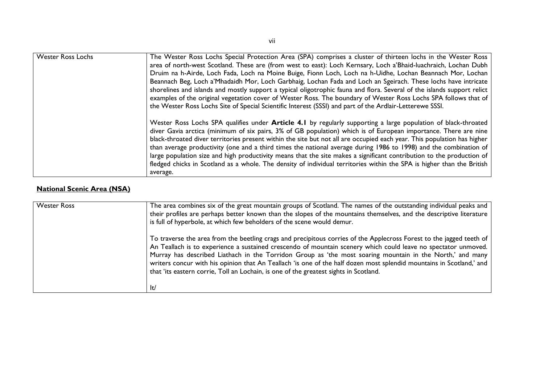| <b>Wester Ross Lochs</b> | The Wester Ross Lochs Special Protection Area (SPA) comprises a cluster of thirteen lochs in the Wester Ross            |
|--------------------------|-------------------------------------------------------------------------------------------------------------------------|
|                          | area of north-west Scotland. These are (from west to east): Loch Kernsary, Loch a'Bhaid-luachraich, Lochan Dubh         |
|                          | Druim na h-Airde, Loch Fada, Loch na Moine Buige, Fionn Loch, Loch na h-Uidhe, Lochan Beannach Mor, Lochan              |
|                          | Beannach Beg, Loch a' Mhadaidh Mor, Loch Garbhaig, Lochan Fada and Loch an Sgeirach. These lochs have intricate         |
|                          | shorelines and islands and mostly support a typical oligotrophic fauna and flora. Several of the islands support relict |
|                          | examples of the original vegetation cover of Wester Ross. The boundary of Wester Ross Lochs SPA follows that of         |
|                          | the Wester Ross Lochs Site of Special Scientific Interest (SSSI) and part of the Ardlair-Letterewe SSSI.                |
|                          |                                                                                                                         |
|                          | Wester Ross Lochs SPA qualifies under Article 4.1 by regularly supporting a large population of black-throated          |
|                          | diver Gavia arctica (minimum of six pairs, 3% of GB population) which is of European importance. There are nine         |
|                          | black-throated diver territories present within the site but not all are occupied each year. This population has higher |
|                          | than average productivity (one and a third times the national average during 1986 to 1998) and the combination of       |
|                          | large population size and high productivity means that the site makes a significant contribution to the production of   |
|                          | fledged chicks in Scotland as a whole. The density of individual territories within the SPA is higher than the British  |
|                          | average.                                                                                                                |

# **National Scenic Area (NSA)**

| <b>Wester Ross</b> | The area combines six of the great mountain groups of Scotland. The names of the outstanding individual peaks and<br>their profiles are perhaps better known than the slopes of the mountains themselves, and the descriptive literature<br>is full of hyperbole, at which few beholders of the scene would demur.                                                                                                                                                                                                                                                          |
|--------------------|-----------------------------------------------------------------------------------------------------------------------------------------------------------------------------------------------------------------------------------------------------------------------------------------------------------------------------------------------------------------------------------------------------------------------------------------------------------------------------------------------------------------------------------------------------------------------------|
|                    | To traverse the area from the beetling crags and precipitous corries of the Applecross Forest to the jagged teeth of<br>An Teallach is to experience a sustained crescendo of mountain scenery which could leave no spectator unmoved.<br>Murray has described Liathach in the Torridon Group as 'the most soaring mountain in the North,' and many<br>writers concur with his opinion that An Teallach 'is one of the half dozen most splendid mountains in Scotland,' and<br>that 'its eastern corrie, Toll an Lochain, is one of the greatest sights in Scotland.<br>lt/ |

vii